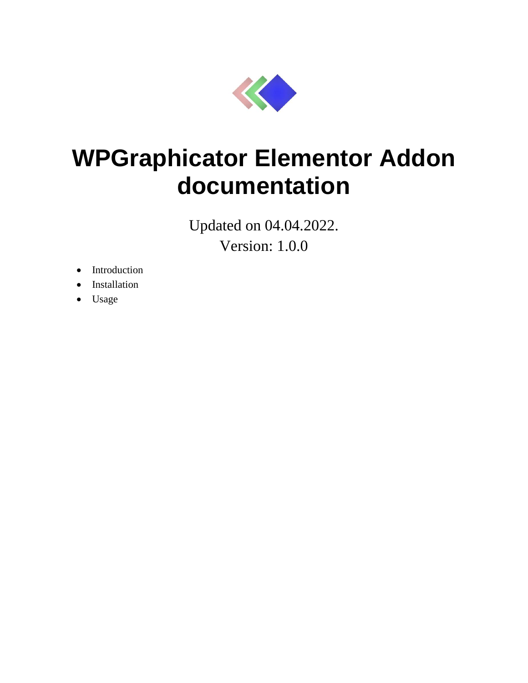

# **WPGraphicator Elementor Addon documentation**

Updated on 04.04.2022. Version: 1.0.0

- Introduction
- Installation
- Usage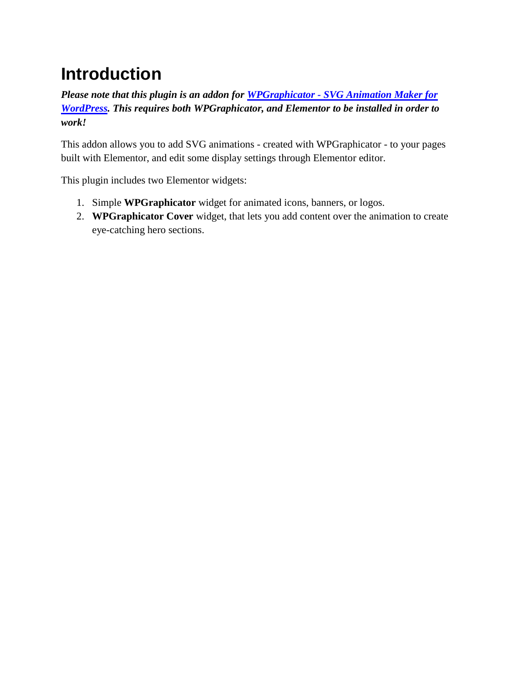## **Introduction**

*Please note that this plugin is an addon for WPGraphicator - [SVG Animation Maker for](https://codecanyon.net/item/wpgraphicator-svg-animation-maker-for-wordpress/31873754)  [WordPress.](https://codecanyon.net/item/wpgraphicator-svg-animation-maker-for-wordpress/31873754) This requires both WPGraphicator, and Elementor to be installed in order to work!*

This addon allows you to add SVG animations - created with WPGraphicator - to your pages built with Elementor, and edit some display settings through Elementor editor.

This plugin includes two Elementor widgets:

- 1. Simple **WPGraphicator** widget for animated icons, banners, or logos.
- 2. **WPGraphicator Cover** widget, that lets you add content over the animation to create eye-catching hero sections.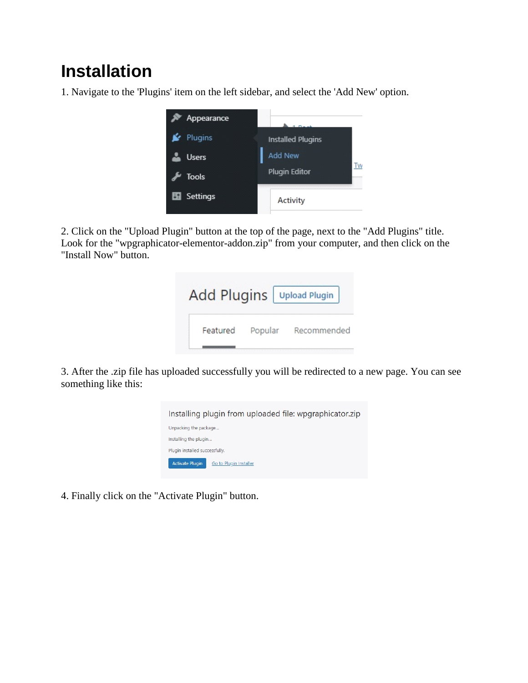### **Installation**

1. Navigate to the 'Plugins' item on the left sidebar, and select the 'Add New' option.



2. Click on the "Upload Plugin" button at the top of the page, next to the "Add Plugins" title. Look for the "wpgraphicator-elementor-addon.zip" from your computer, and then click on the "Install Now" button.

|          |         | Add Plugins   Upload Plugin |
|----------|---------|-----------------------------|
| Featured | Popular | Recommended                 |

3. After the .zip file has uploaded successfully you will be redirected to a new page. You can see something like this:



4. Finally click on the "Activate Plugin" button.